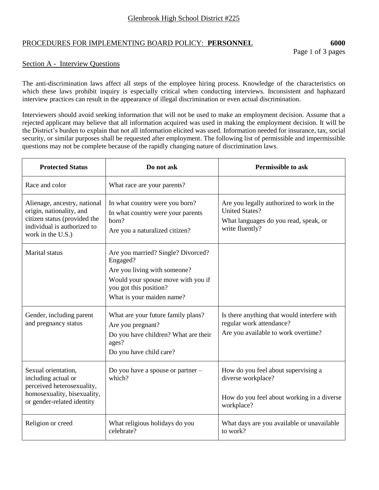## PROCEDURES FOR IMPLEMENTING BOARD POLICY: **PERSONNEL 6000**

Page 1 of 3 pages

## Section A - Interview Questions

The anti-discrimination laws affect all steps of the employee hiring process. Knowledge of the characteristics on which these laws prohibit inquiry is especially critical when conducting interviews. Inconsistent and haphazard interview practices can result in the appearance of illegal discrimination or even actual discrimination.

Interviewers should avoid seeking information that will not be used to make an employment decision. Assume that a rejected applicant may believe that all information acquired was used in making the employment decision. It will be the District's burden to explain that not all information elicited was used. Information needed for insurance, tax, social security, or similar purposes shall be requested after employment. The following list of permissible and impermissible questions may not be complete because of the rapidly changing nature of discrimination laws.

| <b>Protected Status</b>                                                                                                                      | Do not ask                                                                                                                                                                  | <b>Permissible to ask</b>                                                                                                      |
|----------------------------------------------------------------------------------------------------------------------------------------------|-----------------------------------------------------------------------------------------------------------------------------------------------------------------------------|--------------------------------------------------------------------------------------------------------------------------------|
| Race and color                                                                                                                               | What race are your parents?                                                                                                                                                 |                                                                                                                                |
| Alienage, ancestry, national<br>origin, nationality, and<br>citizen status (provided the<br>individual is authorized to<br>work in the U.S.) | In what country were you born?<br>In what country were your parents<br>born?<br>Are you a naturalized citizen?                                                              | Are you legally authorized to work in the<br><b>United States?</b><br>What languages do you read, speak, or<br>write fluently? |
| Marital status                                                                                                                               | Are you married? Single? Divorced?<br>Engaged?<br>Are you living with someone?<br>Would your spouse move with you if<br>you got this position?<br>What is your maiden name? |                                                                                                                                |
| Gender, including parent<br>and pregnancy status                                                                                             | What are your future family plans?<br>Are you pregnant?<br>Do you have children? What are their<br>ages?<br>Do you have child care?                                         | Is there anything that would interfere with<br>regular work attendance?<br>Are you available to work overtime?                 |
| Sexual orientation,<br>including actual or<br>perceived heterosexuality,<br>homosexuality, bisexuality,<br>or gender-related identity        | Do you have a spouse or partner -<br>which?                                                                                                                                 | How do you feel about supervising a<br>diverse workplace?<br>How do you feel about working in a diverse<br>workplace?          |
| Religion or creed                                                                                                                            | What religious holidays do you<br>celebrate?                                                                                                                                | What days are you available or unavailable<br>to work?                                                                         |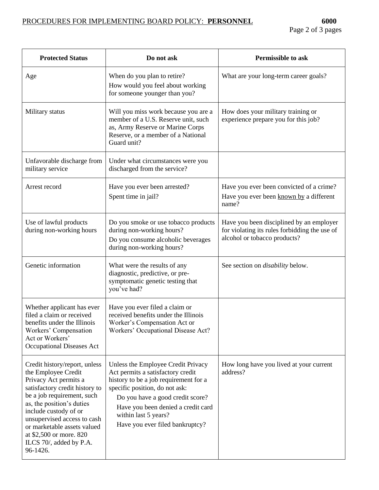| <b>Protected Status</b>                                                                                                                                                                                                                                                                                                             | Do not ask                                                                                                                                                                                                                                                                              | <b>Permissible to ask</b>                                                                                                 |
|-------------------------------------------------------------------------------------------------------------------------------------------------------------------------------------------------------------------------------------------------------------------------------------------------------------------------------------|-----------------------------------------------------------------------------------------------------------------------------------------------------------------------------------------------------------------------------------------------------------------------------------------|---------------------------------------------------------------------------------------------------------------------------|
| Age                                                                                                                                                                                                                                                                                                                                 | When do you plan to retire?<br>How would you feel about working<br>for someone younger than you?                                                                                                                                                                                        | What are your long-term career goals?                                                                                     |
| Military status                                                                                                                                                                                                                                                                                                                     | Will you miss work because you are a<br>member of a U.S. Reserve unit, such<br>as, Army Reserve or Marine Corps<br>Reserve, or a member of a National<br>Guard unit?                                                                                                                    | How does your military training or<br>experience prepare you for this job?                                                |
| Unfavorable discharge from<br>military service                                                                                                                                                                                                                                                                                      | Under what circumstances were you<br>discharged from the service?                                                                                                                                                                                                                       |                                                                                                                           |
| Arrest record                                                                                                                                                                                                                                                                                                                       | Have you ever been arrested?<br>Spent time in jail?                                                                                                                                                                                                                                     | Have you ever been convicted of a crime?<br>Have you ever been known by a different<br>name?                              |
| Use of lawful products<br>during non-working hours                                                                                                                                                                                                                                                                                  | Do you smoke or use tobacco products<br>during non-working hours?<br>Do you consume alcoholic beverages<br>during non-working hours?                                                                                                                                                    | Have you been disciplined by an employer<br>for violating its rules forbidding the use of<br>alcohol or tobacco products? |
| Genetic information                                                                                                                                                                                                                                                                                                                 | What were the results of any<br>diagnostic, predictive, or pre-<br>symptomatic genetic testing that<br>you've had?                                                                                                                                                                      | See section on <i>disability</i> below.                                                                                   |
| Whether applicant has ever<br>filed a claim or received<br>benefits under the Illinois<br>Workers' Compensation<br>Act or Workers'<br><b>Occupational Diseases Act</b>                                                                                                                                                              | Have you ever filed a claim or<br>received benefits under the Illinois<br>Worker's Compensation Act or<br>Workers' Occupational Disease Act?                                                                                                                                            |                                                                                                                           |
| Credit history/report, unless<br>the Employee Credit<br>Privacy Act permits a<br>satisfactory credit history to<br>be a job requirement, such<br>as, the position's duties<br>include custody of or<br>unsupervised access to cash<br>or marketable assets valued<br>at \$2,500 or more. 820<br>ILCS 70/, added by P.A.<br>96-1426. | Unless the Employee Credit Privacy<br>Act permits a satisfactory credit<br>history to be a job requirement for a<br>specific position, do not ask:<br>Do you have a good credit score?<br>Have you been denied a credit card<br>within last 5 years?<br>Have you ever filed bankruptcy? | How long have you lived at your current<br>address?                                                                       |